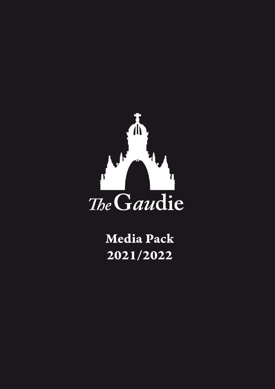

Media Pack 2021/2022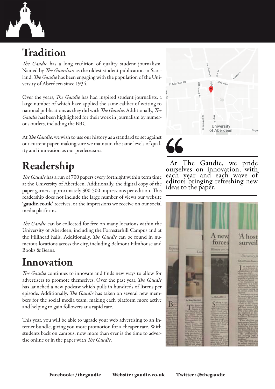

## Tradition

*The Gaudie* has a long tradition of quality student journalism. Named by *The Guardian* as the oldest student publication in Scotland, *The Gaudie* has been engaging with the population of the University of Aberdeen since 1934.

Over the years, *The Gaudie* has had inspired student journalists, a large number of which have applied the same caliber of writing to national publications as they did with *The Gaudie*. Additionally, *The Gaudie* has been highlighted for their work in journalism by numerous outlets, including the BBC.

At *The Gaudie*, we wish to use our history as a standard to set against our current paper, making sure we maintain the same levels of quality and innovation as our predecessors.

# Readership

*The Gaudie* has a run of 700 papers every fortnight within term time at the University of Aberdeen. Additionally, the digital copy of the paper garners approximately 300-500 impressions per edition. This readership does not include the large number of views our website 'gaudie.co.uk' receives, or the impressions we receive on our social media platforms.

*The Gaudie* can be collected for free on many locations within the University of Aberdeen, including the Forresterhill Campus and at the Hillhead halls. Additionally, *The Gaudie* can be found in numerous locations across the city, including Belmont Filmhouse and Books & Beans.

### Innovation

*The Gaudie* continues to innovate and finds new ways to allow for advertisers to promote themselves. Over the past year, *The Gaudie* has launched a new podcast which pulls in hundreds of listens per episode. Additionally, *The Gaudie* has taken on several new members for the social media team, making each platform more active and helping to gain followers at a rapid rate.

This year, you will be able to ugrade your web advertising to an Internet bundle, giving you more promotion for a cheaper rate. With students back on campus, now more than ever is the time to advertise online or in the paper with *The Gaudie*.



At The Gaudie, we pride ourselves on innovation, with each year and each wave of each year and each wave of<br>editors bringing refreshing new ideas to the paper.